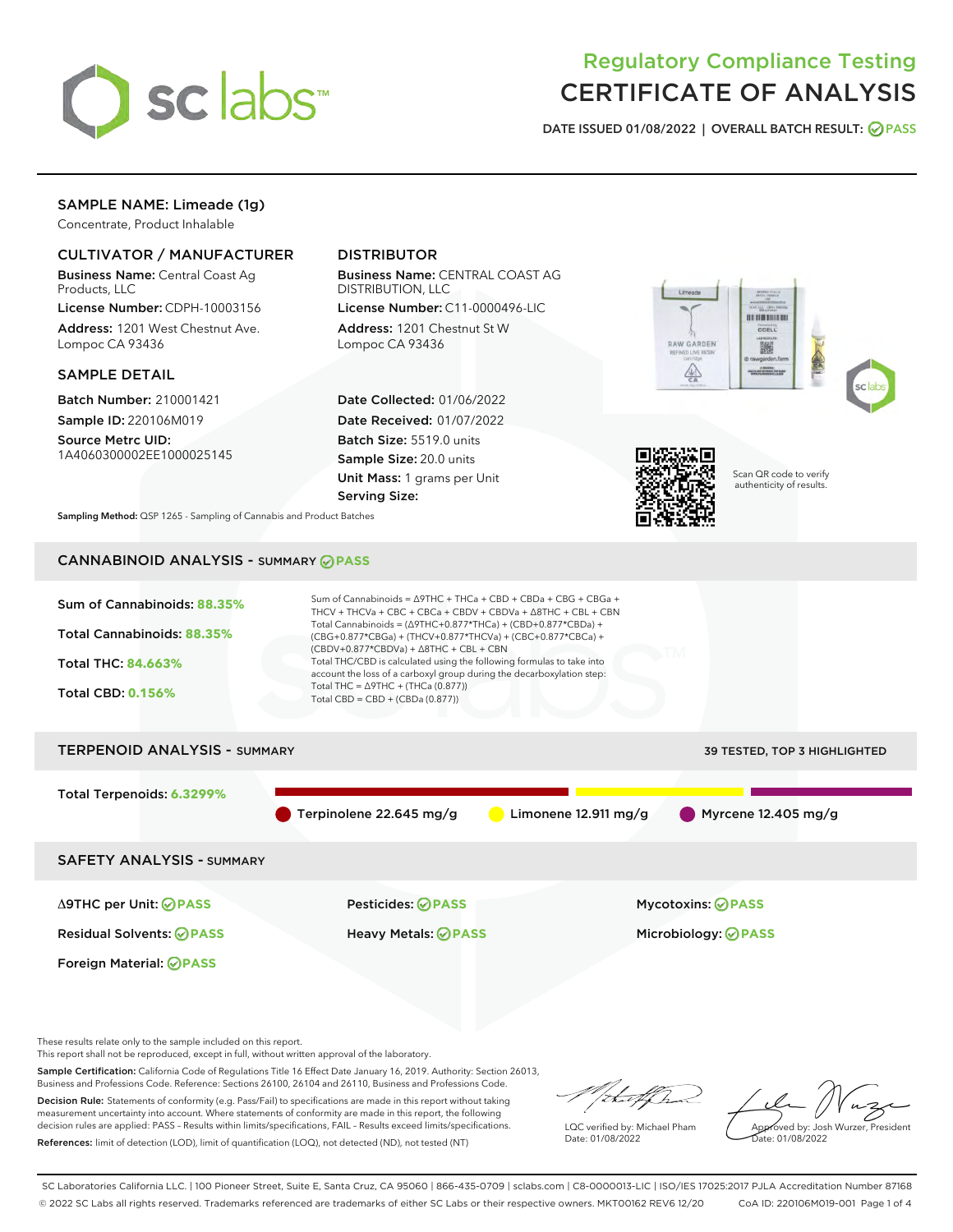

# Regulatory Compliance Testing CERTIFICATE OF ANALYSIS

DATE ISSUED 01/08/2022 | OVERALL BATCH RESULT: @ PASS

# SAMPLE NAME: Limeade (1g)

Concentrate, Product Inhalable

# CULTIVATOR / MANUFACTURER

Business Name: Central Coast Ag Products, LLC

License Number: CDPH-10003156 Address: 1201 West Chestnut Ave. Lompoc CA 93436

## SAMPLE DETAIL

Batch Number: 210001421 Sample ID: 220106M019

Source Metrc UID: 1A4060300002EE1000025145

# DISTRIBUTOR

Business Name: CENTRAL COAST AG DISTRIBUTION, LLC

License Number: C11-0000496-LIC Address: 1201 Chestnut St W Lompoc CA 93436

Date Collected: 01/06/2022 Date Received: 01/07/2022 Batch Size: 5519.0 units Sample Size: 20.0 units Unit Mass: 1 grams per Unit Serving Size:





Scan QR code to verify authenticity of results.

Sampling Method: QSP 1265 - Sampling of Cannabis and Product Batches

# CANNABINOID ANALYSIS - SUMMARY **PASS**



These results relate only to the sample included on this report.

This report shall not be reproduced, except in full, without written approval of the laboratory.

Sample Certification: California Code of Regulations Title 16 Effect Date January 16, 2019. Authority: Section 26013, Business and Professions Code. Reference: Sections 26100, 26104 and 26110, Business and Professions Code.

Decision Rule: Statements of conformity (e.g. Pass/Fail) to specifications are made in this report without taking measurement uncertainty into account. Where statements of conformity are made in this report, the following decision rules are applied: PASS – Results within limits/specifications, FAIL – Results exceed limits/specifications. References: limit of detection (LOD), limit of quantification (LOQ), not detected (ND), not tested (NT)

that for

LQC verified by: Michael Pham Date: 01/08/2022

Approved by: Josh Wurzer, President ate: 01/08/2022

SC Laboratories California LLC. | 100 Pioneer Street, Suite E, Santa Cruz, CA 95060 | 866-435-0709 | sclabs.com | C8-0000013-LIC | ISO/IES 17025:2017 PJLA Accreditation Number 87168 © 2022 SC Labs all rights reserved. Trademarks referenced are trademarks of either SC Labs or their respective owners. MKT00162 REV6 12/20 CoA ID: 220106M019-001 Page 1 of 4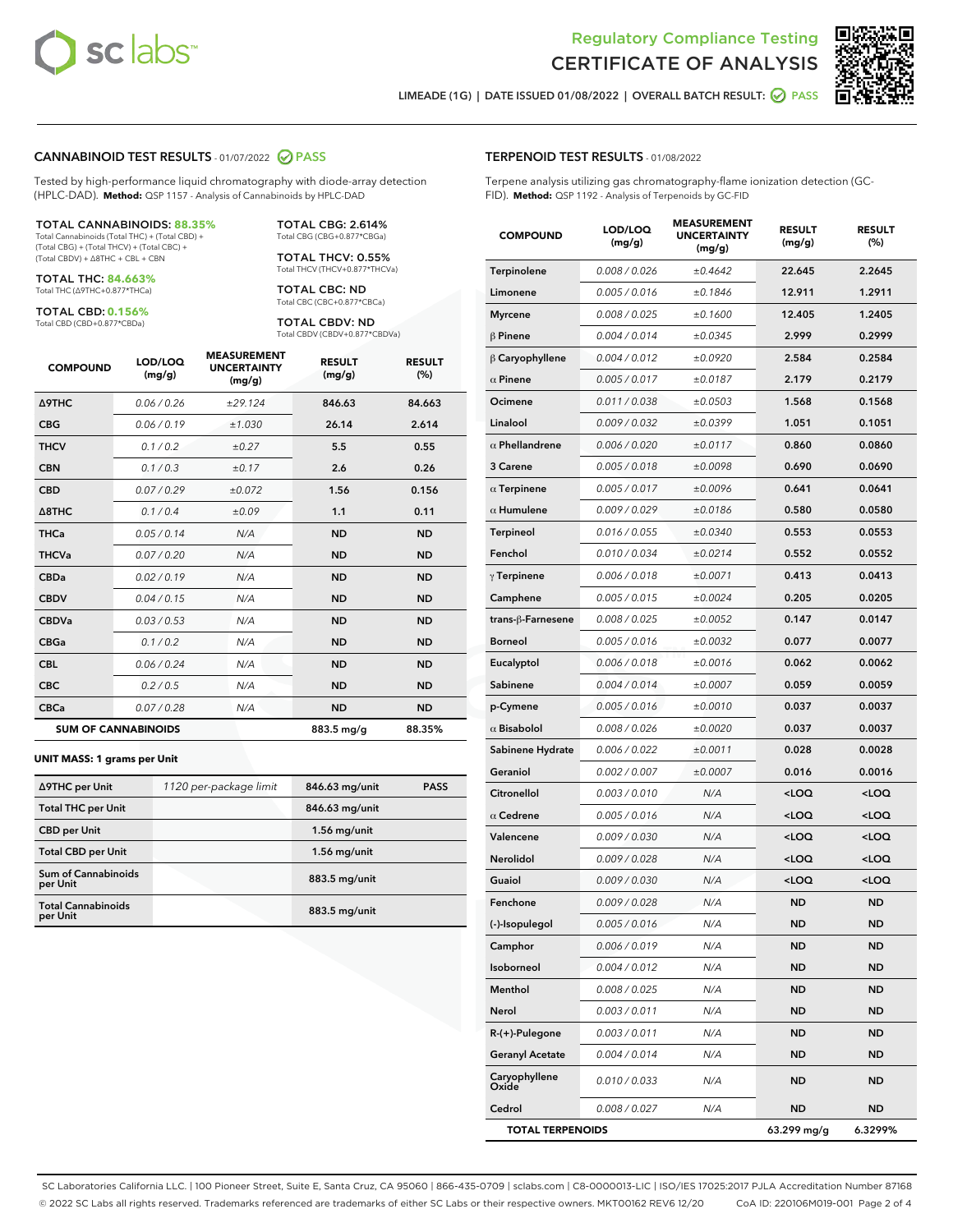



LIMEADE (1G) | DATE ISSUED 01/08/2022 | OVERALL BATCH RESULT:  $\bigcirc$  PASS

#### CANNABINOID TEST RESULTS - 01/07/2022 2 PASS

Tested by high-performance liquid chromatography with diode-array detection (HPLC-DAD). **Method:** QSP 1157 - Analysis of Cannabinoids by HPLC-DAD

#### TOTAL CANNABINOIDS: **88.35%**

Total Cannabinoids (Total THC) + (Total CBD) + (Total CBG) + (Total THCV) + (Total CBC) + (Total CBDV) + ∆8THC + CBL + CBN

TOTAL THC: **84.663%** Total THC (∆9THC+0.877\*THCa)

TOTAL CBD: **0.156%**

Total CBD (CBD+0.877\*CBDa)

TOTAL CBG: 2.614% Total CBG (CBG+0.877\*CBGa)

TOTAL THCV: 0.55% Total THCV (THCV+0.877\*THCVa)

TOTAL CBC: ND Total CBC (CBC+0.877\*CBCa)

TOTAL CBDV: ND Total CBDV (CBDV+0.877\*CBDVa)

| <b>COMPOUND</b>            | LOD/LOQ<br>(mg/g) | <b>MEASUREMENT</b><br><b>UNCERTAINTY</b><br>(mg/g) | <b>RESULT</b><br>(mg/g) | <b>RESULT</b><br>(%) |
|----------------------------|-------------------|----------------------------------------------------|-------------------------|----------------------|
| <b>A9THC</b>               | 0.06 / 0.26       | ±29.124                                            | 846.63                  | 84.663               |
| <b>CBG</b>                 | 0.06/0.19         | ±1.030                                             | 26.14                   | 2.614                |
| <b>THCV</b>                | 0.1 / 0.2         | ±0.27                                              | 5.5                     | 0.55                 |
| <b>CBN</b>                 | 0.1 / 0.3         | ±0.17                                              | 2.6                     | 0.26                 |
| <b>CBD</b>                 | 0.07/0.29         | ±0.072                                             | 1.56                    | 0.156                |
| $\triangle$ 8THC           | 0.1 / 0.4         | ±0.09                                              | 1.1                     | 0.11                 |
| <b>THCa</b>                | 0.05/0.14         | N/A                                                | <b>ND</b>               | <b>ND</b>            |
| <b>THCVa</b>               | 0.07/0.20         | N/A                                                | <b>ND</b>               | <b>ND</b>            |
| <b>CBDa</b>                | 0.02/0.19         | N/A                                                | <b>ND</b>               | <b>ND</b>            |
| <b>CBDV</b>                | 0.04/0.15         | N/A                                                | <b>ND</b>               | <b>ND</b>            |
| <b>CBDVa</b>               | 0.03/0.53         | N/A                                                | <b>ND</b>               | <b>ND</b>            |
| <b>CBGa</b>                | 0.1/0.2           | N/A                                                | <b>ND</b>               | <b>ND</b>            |
| <b>CBL</b>                 | 0.06 / 0.24       | N/A                                                | <b>ND</b>               | <b>ND</b>            |
| <b>CBC</b>                 | 0.2 / 0.5         | N/A                                                | <b>ND</b>               | <b>ND</b>            |
| <b>CBCa</b>                | 0.07 / 0.28       | N/A                                                | <b>ND</b>               | <b>ND</b>            |
| <b>SUM OF CANNABINOIDS</b> |                   |                                                    | 883.5 mg/g              | 88.35%               |

#### **UNIT MASS: 1 grams per Unit**

| ∆9THC per Unit                         | 1120 per-package limit | 846.63 mg/unit | <b>PASS</b> |
|----------------------------------------|------------------------|----------------|-------------|
| <b>Total THC per Unit</b>              |                        | 846.63 mg/unit |             |
| <b>CBD per Unit</b>                    |                        | $1.56$ mg/unit |             |
| <b>Total CBD per Unit</b>              |                        | $1.56$ mg/unit |             |
| <b>Sum of Cannabinoids</b><br>per Unit |                        | 883.5 mg/unit  |             |
| <b>Total Cannabinoids</b><br>per Unit  |                        | 883.5 mg/unit  |             |

# TERPENOID TEST RESULTS - 01/08/2022

Terpene analysis utilizing gas chromatography-flame ionization detection (GC-FID). **Method:** QSP 1192 - Analysis of Terpenoids by GC-FID

| <b>COMPOUND</b>         | LOD/LOQ<br>(mg/g) | <b>MEASUREMENT</b><br><b>UNCERTAINTY</b><br>(mg/g) | <b>RESULT</b><br>(mg/g)                          | <b>RESULT</b><br>(%) |
|-------------------------|-------------------|----------------------------------------------------|--------------------------------------------------|----------------------|
| Terpinolene             | 0.008 / 0.026     | ±0.4642                                            | 22.645                                           | 2.2645               |
| Limonene                | 0.005 / 0.016     | ±0.1846                                            | 12.911                                           | 1.2911               |
| <b>Myrcene</b>          | 0.008 / 0.025     | ±0.1600                                            | 12.405                                           | 1.2405               |
| $\beta$ Pinene          | 0.004 / 0.014     | ±0.0345                                            | 2.999                                            | 0.2999               |
| $\beta$ Caryophyllene   | 0.004 / 0.012     | ±0.0920                                            | 2.584                                            | 0.2584               |
| $\alpha$ Pinene         | 0.005 / 0.017     | ±0.0187                                            | 2.179                                            | 0.2179               |
| Ocimene                 | 0.011 / 0.038     | ±0.0503                                            | 1.568                                            | 0.1568               |
| Linalool                | 0.009 / 0.032     | ±0.0399                                            | 1.051                                            | 0.1051               |
| $\alpha$ Phellandrene   | 0.006 / 0.020     | ±0.0117                                            | 0.860                                            | 0.0860               |
| 3 Carene                | 0.005 / 0.018     | ±0.0098                                            | 0.690                                            | 0.0690               |
| $\alpha$ Terpinene      | 0.005 / 0.017     | ±0.0096                                            | 0.641                                            | 0.0641               |
| $\alpha$ Humulene       | 0.009/0.029       | ±0.0186                                            | 0.580                                            | 0.0580               |
| <b>Terpineol</b>        | 0.016 / 0.055     | ±0.0340                                            | 0.553                                            | 0.0553               |
| Fenchol                 | 0.010 / 0.034     | ±0.0214                                            | 0.552                                            | 0.0552               |
| $\gamma$ Terpinene      | 0.006 / 0.018     | ±0.0071                                            | 0.413                                            | 0.0413               |
| Camphene                | 0.005 / 0.015     | ±0.0024                                            | 0.205                                            | 0.0205               |
| trans-ß-Farnesene       | 0.008 / 0.025     | ±0.0052                                            | 0.147                                            | 0.0147               |
| <b>Borneol</b>          | 0.005 / 0.016     | ±0.0032                                            | 0.077                                            | 0.0077               |
| Eucalyptol              | 0.006 / 0.018     | ±0.0016                                            | 0.062                                            | 0.0062               |
| Sabinene                | 0.004 / 0.014     | ±0.0007                                            | 0.059                                            | 0.0059               |
| p-Cymene                | 0.005 / 0.016     | ±0.0010                                            | 0.037                                            | 0.0037               |
| $\alpha$ Bisabolol      | 0.008 / 0.026     | ±0.0020                                            | 0.037                                            | 0.0037               |
| Sabinene Hydrate        | 0.006 / 0.022     | ±0.0011                                            | 0.028                                            | 0.0028               |
| Geraniol                | 0.002 / 0.007     | ±0.0007                                            | 0.016                                            | 0.0016               |
| Citronellol             | 0.003 / 0.010     | N/A                                                | <loq< th=""><th><loq< th=""></loq<></th></loq<>  | <loq< th=""></loq<>  |
| $\alpha$ Cedrene        | 0.005 / 0.016     | N/A                                                | <loq< th=""><th><loq< th=""></loq<></th></loq<>  | <loq< th=""></loq<>  |
| Valencene               | 0.009 / 0.030     | N/A                                                | <loq< th=""><th><loq< th=""></loq<></th></loq<>  | <loq< th=""></loq<>  |
| Nerolidol               | 0.009 / 0.028     | N/A                                                | <loq< th=""><th><loq< th=""></loq<></th></loq<>  | <loq< th=""></loq<>  |
| Guaiol                  | 0.009/0.030       | N/A                                                | <loq< th=""><th><math>&lt;</math>LOQ</th></loq<> | $<$ LOQ              |
| Fenchone                | 0.009 / 0.028     | N/A                                                | ND                                               | <b>ND</b>            |
| (-)-Isopulegol          | 0.005 / 0.016     | N/A                                                | ND                                               | <b>ND</b>            |
| Camphor                 | 0.006 / 0.019     | N/A                                                | ND                                               | ND                   |
| Isoborneol              | 0.004 / 0.012     | N/A                                                | ND                                               | ND                   |
| Menthol                 | 0.008 / 0.025     | N/A                                                | <b>ND</b>                                        | ND                   |
| Nerol                   | 0.003 / 0.011     | N/A                                                | ND                                               | ND                   |
| R-(+)-Pulegone          | 0.003 / 0.011     | N/A                                                | ND                                               | ND                   |
| <b>Geranyl Acetate</b>  | 0.004 / 0.014     | N/A                                                | <b>ND</b>                                        | ND                   |
| Caryophyllene<br>Oxide  | 0.010 / 0.033     | N/A                                                | ND                                               | ND                   |
| Cedrol                  | 0.008 / 0.027     | N/A                                                | <b>ND</b>                                        | ND                   |
| <b>TOTAL TERPENOIDS</b> |                   |                                                    | 63.299 mg/g                                      | 6.3299%              |

SC Laboratories California LLC. | 100 Pioneer Street, Suite E, Santa Cruz, CA 95060 | 866-435-0709 | sclabs.com | C8-0000013-LIC | ISO/IES 17025:2017 PJLA Accreditation Number 87168 © 2022 SC Labs all rights reserved. Trademarks referenced are trademarks of either SC Labs or their respective owners. MKT00162 REV6 12/20 CoA ID: 220106M019-001 Page 2 of 4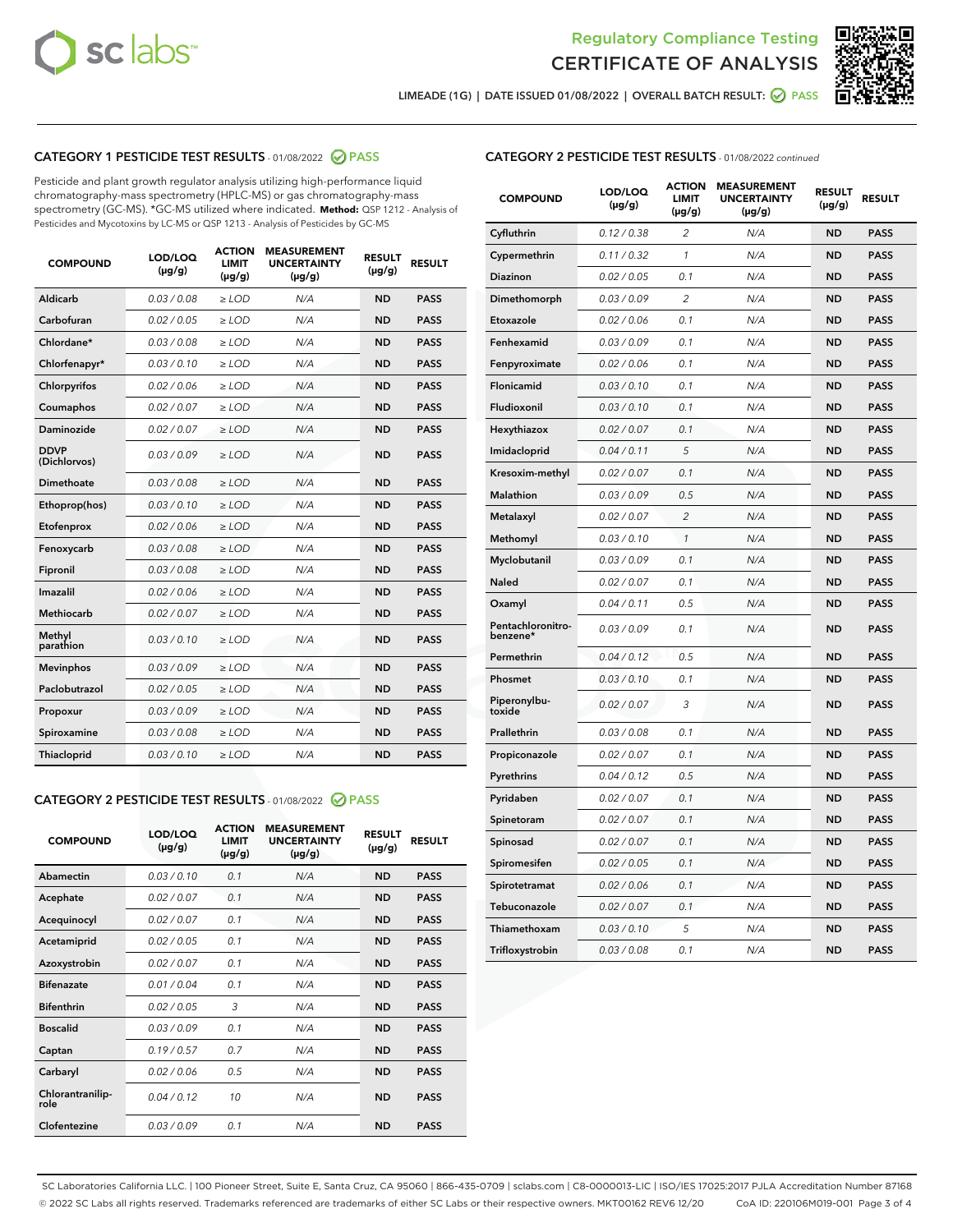



LIMEADE (1G) | DATE ISSUED 01/08/2022 | OVERALL BATCH RESULT: 2 PASS

# CATEGORY 1 PESTICIDE TEST RESULTS - 01/08/2022 2 PASS

Pesticide and plant growth regulator analysis utilizing high-performance liquid chromatography-mass spectrometry (HPLC-MS) or gas chromatography-mass spectrometry (GC-MS). \*GC-MS utilized where indicated. **Method:** QSP 1212 - Analysis of Pesticides and Mycotoxins by LC-MS or QSP 1213 - Analysis of Pesticides by GC-MS

| <b>COMPOUND</b>             | LOD/LOQ<br>$(\mu g/g)$ | <b>ACTION</b><br><b>LIMIT</b><br>$(\mu g/g)$ | <b>MEASUREMENT</b><br><b>UNCERTAINTY</b><br>$(\mu g/g)$ | <b>RESULT</b><br>$(\mu g/g)$ | <b>RESULT</b> |
|-----------------------------|------------------------|----------------------------------------------|---------------------------------------------------------|------------------------------|---------------|
| Aldicarb                    | 0.03/0.08              | $>$ LOD                                      | N/A                                                     | <b>ND</b>                    | <b>PASS</b>   |
| Carbofuran                  | 0.02 / 0.05            | $\ge$ LOD                                    | N/A                                                     | <b>ND</b>                    | <b>PASS</b>   |
| Chlordane*                  | 0.03/0.08              | $>$ LOD                                      | N/A                                                     | <b>ND</b>                    | <b>PASS</b>   |
| Chlorfenapyr*               | 0.03 / 0.10            | $\ge$ LOD                                    | N/A                                                     | <b>ND</b>                    | <b>PASS</b>   |
| Chlorpyrifos                | 0.02 / 0.06            | $\ge$ LOD                                    | N/A                                                     | <b>ND</b>                    | <b>PASS</b>   |
| Coumaphos                   | 0.02 / 0.07            | $\ge$ LOD                                    | N/A                                                     | <b>ND</b>                    | <b>PASS</b>   |
| Daminozide                  | 0.02 / 0.07            | $\ge$ LOD                                    | N/A                                                     | <b>ND</b>                    | <b>PASS</b>   |
| <b>DDVP</b><br>(Dichlorvos) | 0.03/0.09              | $\ge$ LOD                                    | N/A                                                     | <b>ND</b>                    | <b>PASS</b>   |
| <b>Dimethoate</b>           | 0.03 / 0.08            | $\ge$ LOD                                    | N/A                                                     | <b>ND</b>                    | <b>PASS</b>   |
| Ethoprop(hos)               | 0.03/0.10              | $\ge$ LOD                                    | N/A                                                     | <b>ND</b>                    | <b>PASS</b>   |
| Etofenprox                  | 0.02 / 0.06            | $\ge$ LOD                                    | N/A                                                     | <b>ND</b>                    | <b>PASS</b>   |
| Fenoxycarb                  | 0.03 / 0.08            | $\ge$ LOD                                    | N/A                                                     | <b>ND</b>                    | <b>PASS</b>   |
| Fipronil                    | 0.03/0.08              | $>$ LOD                                      | N/A                                                     | <b>ND</b>                    | <b>PASS</b>   |
| Imazalil                    | 0.02 / 0.06            | $\ge$ LOD                                    | N/A                                                     | <b>ND</b>                    | <b>PASS</b>   |
| Methiocarb                  | 0.02 / 0.07            | $\ge$ LOD                                    | N/A                                                     | <b>ND</b>                    | <b>PASS</b>   |
| Methyl<br>parathion         | 0.03/0.10              | $\ge$ LOD                                    | N/A                                                     | <b>ND</b>                    | <b>PASS</b>   |
| <b>Mevinphos</b>            | 0.03/0.09              | $\ge$ LOD                                    | N/A                                                     | <b>ND</b>                    | <b>PASS</b>   |
| Paclobutrazol               | 0.02 / 0.05            | $>$ LOD                                      | N/A                                                     | <b>ND</b>                    | <b>PASS</b>   |
| Propoxur                    | 0.03/0.09              | $\ge$ LOD                                    | N/A                                                     | <b>ND</b>                    | <b>PASS</b>   |
| Spiroxamine                 | 0.03 / 0.08            | $\ge$ LOD                                    | N/A                                                     | <b>ND</b>                    | <b>PASS</b>   |
| Thiacloprid                 | 0.03/0.10              | $\ge$ LOD                                    | N/A                                                     | <b>ND</b>                    | <b>PASS</b>   |
|                             |                        |                                              |                                                         |                              |               |

### CATEGORY 2 PESTICIDE TEST RESULTS - 01/08/2022 2 PASS

| <b>COMPOUND</b>          | LOD/LOO<br>$(\mu g/g)$ | <b>ACTION</b><br>LIMIT<br>$(\mu g/g)$ | <b>MEASUREMENT</b><br><b>UNCERTAINTY</b><br>$(\mu g/g)$ | <b>RESULT</b><br>$(\mu g/g)$ | <b>RESULT</b> |
|--------------------------|------------------------|---------------------------------------|---------------------------------------------------------|------------------------------|---------------|
| Abamectin                | 0.03/0.10              | 0.1                                   | N/A                                                     | <b>ND</b>                    | <b>PASS</b>   |
| Acephate                 | 0.02/0.07              | 0.1                                   | N/A                                                     | <b>ND</b>                    | <b>PASS</b>   |
| Acequinocyl              | 0.02/0.07              | 0.1                                   | N/A                                                     | <b>ND</b>                    | <b>PASS</b>   |
| Acetamiprid              | 0.02/0.05              | 0.1                                   | N/A                                                     | <b>ND</b>                    | <b>PASS</b>   |
| Azoxystrobin             | 0.02/0.07              | 0.1                                   | N/A                                                     | <b>ND</b>                    | <b>PASS</b>   |
| <b>Bifenazate</b>        | 0.01/0.04              | 0.1                                   | N/A                                                     | <b>ND</b>                    | <b>PASS</b>   |
| <b>Bifenthrin</b>        | 0.02/0.05              | 3                                     | N/A                                                     | <b>ND</b>                    | <b>PASS</b>   |
| <b>Boscalid</b>          | 0.03/0.09              | 0.1                                   | N/A                                                     | <b>ND</b>                    | <b>PASS</b>   |
| Captan                   | 0.19/0.57              | 0.7                                   | N/A                                                     | <b>ND</b>                    | <b>PASS</b>   |
| Carbaryl                 | 0.02/0.06              | 0.5                                   | N/A                                                     | <b>ND</b>                    | <b>PASS</b>   |
| Chlorantranilip-<br>role | 0.04/0.12              | 10                                    | N/A                                                     | <b>ND</b>                    | <b>PASS</b>   |
| Clofentezine             | 0.03/0.09              | 0.1                                   | N/A                                                     | <b>ND</b>                    | <b>PASS</b>   |

# CATEGORY 2 PESTICIDE TEST RESULTS - 01/08/2022 continued

| <b>COMPOUND</b>               | LOD/LOQ<br>(µg/g) | <b>ACTION</b><br>LIMIT<br>$(\mu g/g)$ | <b>MEASUREMENT</b><br><b>UNCERTAINTY</b><br>(µg/g) | <b>RESULT</b><br>(µg/g) | <b>RESULT</b> |
|-------------------------------|-------------------|---------------------------------------|----------------------------------------------------|-------------------------|---------------|
| Cyfluthrin                    | 0.12 / 0.38       | 2                                     | N/A                                                | ND                      | <b>PASS</b>   |
| Cypermethrin                  | 0.11 / 0.32       | 1                                     | N/A                                                | ND                      | <b>PASS</b>   |
| Diazinon                      | 0.02 / 0.05       | 0.1                                   | N/A                                                | ND                      | <b>PASS</b>   |
| Dimethomorph                  | 0.03 / 0.09       | $\overline{2}$                        | N/A                                                | <b>ND</b>               | <b>PASS</b>   |
| Etoxazole                     | 0.02 / 0.06       | 0.1                                   | N/A                                                | ND                      | <b>PASS</b>   |
| Fenhexamid                    | 0.03 / 0.09       | 0.1                                   | N/A                                                | ND                      | <b>PASS</b>   |
| Fenpyroximate                 | 0.02 / 0.06       | 0.1                                   | N/A                                                | <b>ND</b>               | <b>PASS</b>   |
| Flonicamid                    | 0.03 / 0.10       | 0.1                                   | N/A                                                | <b>ND</b>               | <b>PASS</b>   |
| Fludioxonil                   | 0.03 / 0.10       | 0.1                                   | N/A                                                | <b>ND</b>               | <b>PASS</b>   |
| Hexythiazox                   | 0.02 / 0.07       | 0.1                                   | N/A                                                | <b>ND</b>               | <b>PASS</b>   |
| Imidacloprid                  | 0.04 / 0.11       | 5                                     | N/A                                                | <b>ND</b>               | <b>PASS</b>   |
| Kresoxim-methyl               | 0.02 / 0.07       | 0.1                                   | N/A                                                | ND                      | <b>PASS</b>   |
| Malathion                     | 0.03 / 0.09       | 0.5                                   | N/A                                                | <b>ND</b>               | <b>PASS</b>   |
| Metalaxyl                     | 0.02 / 0.07       | $\overline{c}$                        | N/A                                                | <b>ND</b>               | <b>PASS</b>   |
| Methomyl                      | 0.03 / 0.10       | 1                                     | N/A                                                | ND                      | <b>PASS</b>   |
| Myclobutanil                  | 0.03/0.09         | 0.1                                   | N/A                                                | <b>ND</b>               | <b>PASS</b>   |
| Naled                         | 0.02 / 0.07       | 0.1                                   | N/A                                                | ND                      | <b>PASS</b>   |
| Oxamyl                        | 0.04 / 0.11       | 0.5                                   | N/A                                                | ND                      | <b>PASS</b>   |
| Pentachloronitro-<br>benzene* | 0.03 / 0.09       | 0.1                                   | N/A                                                | ND                      | <b>PASS</b>   |
| Permethrin                    | 0.04/0.12         | 0.5                                   | N/A                                                | <b>ND</b>               | <b>PASS</b>   |
| Phosmet                       | 0.03 / 0.10       | 0.1                                   | N/A                                                | ND                      | <b>PASS</b>   |
| Piperonylbu-<br>toxide        | 0.02 / 0.07       | 3                                     | N/A                                                | <b>ND</b>               | <b>PASS</b>   |
| Prallethrin                   | 0.03 / 0.08       | 0.1                                   | N/A                                                | <b>ND</b>               | <b>PASS</b>   |
| Propiconazole                 | 0.02 / 0.07       | 0.1                                   | N/A                                                | ND                      | <b>PASS</b>   |
| Pyrethrins                    | 0.04 / 0.12       | 0.5                                   | N/A                                                | ND                      | <b>PASS</b>   |
| Pyridaben                     | 0.02 / 0.07       | 0.1                                   | N/A                                                | <b>ND</b>               | <b>PASS</b>   |
| Spinetoram                    | 0.02 / 0.07       | 0.1                                   | N/A                                                | ND                      | <b>PASS</b>   |
| Spinosad                      | 0.02 / 0.07       | 0.1                                   | N/A                                                | ND                      | <b>PASS</b>   |
| Spiromesifen                  | 0.02 / 0.05       | 0.1                                   | N/A                                                | <b>ND</b>               | <b>PASS</b>   |
| Spirotetramat                 | 0.02 / 0.06       | 0.1                                   | N/A                                                | ND                      | <b>PASS</b>   |
| Tebuconazole                  | 0.02 / 0.07       | 0.1                                   | N/A                                                | ND                      | <b>PASS</b>   |
| Thiamethoxam                  | 0.03 / 0.10       | 5                                     | N/A                                                | <b>ND</b>               | <b>PASS</b>   |
| Trifloxystrobin               | 0.03 / 0.08       | 0.1                                   | N/A                                                | <b>ND</b>               | <b>PASS</b>   |

SC Laboratories California LLC. | 100 Pioneer Street, Suite E, Santa Cruz, CA 95060 | 866-435-0709 | sclabs.com | C8-0000013-LIC | ISO/IES 17025:2017 PJLA Accreditation Number 87168 © 2022 SC Labs all rights reserved. Trademarks referenced are trademarks of either SC Labs or their respective owners. MKT00162 REV6 12/20 CoA ID: 220106M019-001 Page 3 of 4